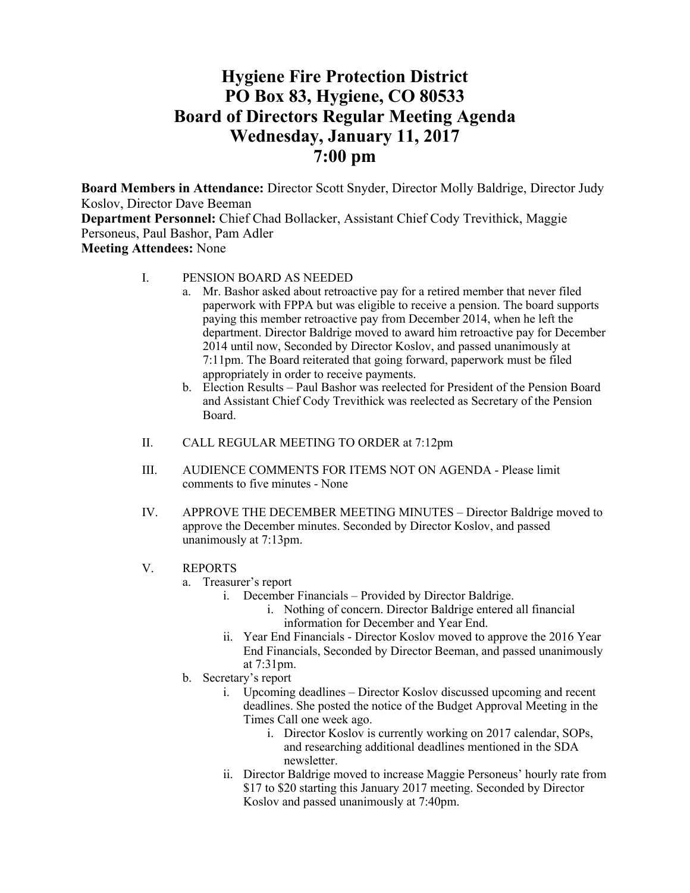# **Hygiene Fire Protection District PO Box 83, Hygiene, CO 80533 Board of Directors Regular Meeting Agenda Wednesday, January 11, 2017 7:00 pm**

**Board Members in Attendance:** Director Scott Snyder, Director Molly Baldrige, Director Judy Koslov, Director Dave Beeman

**Department Personnel:** Chief Chad Bollacker, Assistant Chief Cody Trevithick, Maggie Personeus, Paul Bashor, Pam Adler **Meeting Attendees:** None

I. PENSION BOARD AS NEEDED

- a. Mr. Bashor asked about retroactive pay for a retired member that never filed paperwork with FPPA but was eligible to receive a pension. The board supports paying this member retroactive pay from December 2014, when he left the department. Director Baldrige moved to award him retroactive pay for December 2014 until now, Seconded by Director Koslov, and passed unanimously at 7:11pm. The Board reiterated that going forward, paperwork must be filed appropriately in order to receive payments.
	- b. Election Results Paul Bashor was reelected for President of the Pension Board and Assistant Chief Cody Trevithick was reelected as Secretary of the Pension Board.
- II. CALL REGULAR MEETING TO ORDER at 7:12pm
- III. AUDIENCE COMMENTS FOR ITEMS NOT ON AGENDA Please limit comments to five minutes - None
- IV. APPROVE THE DECEMBER MEETING MINUTES Director Baldrige moved to approve the December minutes. Seconded by Director Koslov, and passed unanimously at 7:13pm.
- V. REPORTS
	- a. Treasurer's report
		- i. December Financials Provided by Director Baldrige.
			- i. Nothing of concern. Director Baldrige entered all financial information for December and Year End.
		- ii. Year End Financials Director Koslov moved to approve the 2016 Year End Financials, Seconded by Director Beeman, and passed unanimously at 7:31pm.
	- b. Secretary's report
		- i. Upcoming deadlines Director Koslov discussed upcoming and recent deadlines. She posted the notice of the Budget Approval Meeting in the Times Call one week ago.
			- i. Director Koslov is currently working on 2017 calendar, SOPs, and researching additional deadlines mentioned in the SDA newsletter.
		- ii. Director Baldrige moved to increase Maggie Personeus' hourly rate from \$17 to \$20 starting this January 2017 meeting. Seconded by Director Koslov and passed unanimously at 7:40pm.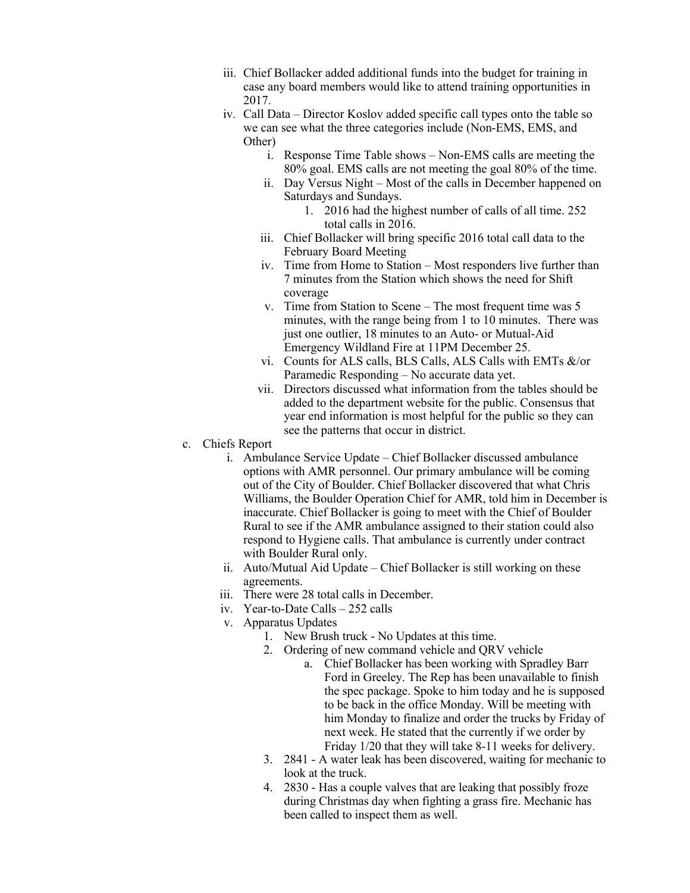- iii. Chief Bollacker added additional funds into the budget for training in case any board members would like to attend training opportunities in 2017.
- iv. Call Data Director Koslov added specific call types onto the table so we can see what the three categories include (Non-EMS, EMS, and Other)
	- i. Response Time Table shows Non-EMS calls are meeting the 80% goal. EMS calls are not meeting the goal 80% of the time.
	- ii. Day Versus Night Most of the calls in December happened on Saturdays and Sundays.
		- 1. 2016 had the highest number of calls of all time. 252 total calls in 2016.
	- iii. Chief Bollacker will bring specific 2016 total call data to the February Board Meeting
	- iv. Time from Home to Station Most responders live further than 7 minutes from the Station which shows the need for Shift coverage
	- v. Time from Station to Scene The most frequent time was 5 minutes, with the range being from 1 to 10 minutes. There was just one outlier, 18 minutes to an Auto- or Mutual-Aid Emergency Wildland Fire at 11PM December 25.
	- vi. Counts for ALS calls, BLS Calls, ALS Calls with EMTs &/or Paramedic Responding – No accurate data yet.
	- vii. Directors discussed what information from the tables should be added to the department website for the public. Consensus that year end information is most helpful for the public so they can see the patterns that occur in district.
- c. Chiefs Report
	- i. Ambulance Service Update Chief Bollacker discussed ambulance options with AMR personnel. Our primary ambulance will be coming out of the City of Boulder. Chief Bollacker discovered that what Chris Williams, the Boulder Operation Chief for AMR, told him in December is inaccurate. Chief Bollacker is going to meet with the Chief of Boulder Rural to see if the AMR ambulance assigned to their station could also respond to Hygiene calls. That ambulance is currently under contract with Boulder Rural only.
	- ii. Auto/Mutual Aid Update Chief Bollacker is still working on these agreements.
	- iii. There were 28 total calls in December.
	- iv. Year-to-Date Calls 252 calls
	- v. Apparatus Updates
		- 1. New Brush truck No Updates at this time.
		- 2. Ordering of new command vehicle and QRV vehicle
			- a. Chief Bollacker has been working with Spradley Barr Ford in Greeley. The Rep has been unavailable to finish the spec package. Spoke to him today and he is supposed to be back in the office Monday. Will be meeting with him Monday to finalize and order the trucks by Friday of next week. He stated that the currently if we order by Friday 1/20 that they will take 8-11 weeks for delivery.
		- 3. 2841 A water leak has been discovered, waiting for mechanic to look at the truck.
		- 4. 2830 Has a couple valves that are leaking that possibly froze during Christmas day when fighting a grass fire. Mechanic has been called to inspect them as well.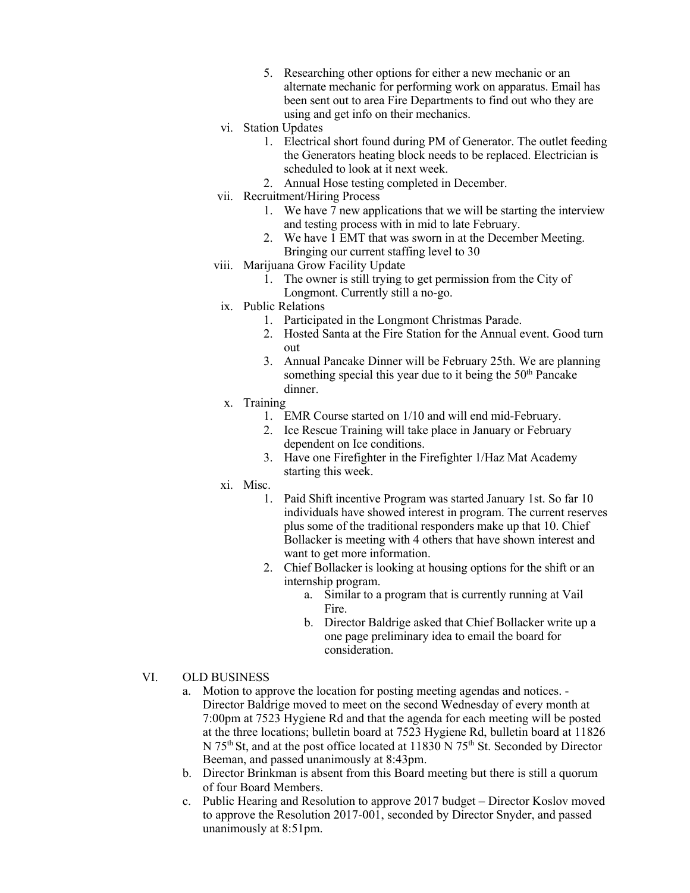- 5. Researching other options for either a new mechanic or an alternate mechanic for performing work on apparatus. Email has been sent out to area Fire Departments to find out who they are using and get info on their mechanics.
- vi. Station Updates
	- 1. Electrical short found during PM of Generator. The outlet feeding the Generators heating block needs to be replaced. Electrician is scheduled to look at it next week.
	- 2. Annual Hose testing completed in December.
- vii. Recruitment/Hiring Process
	- 1. We have 7 new applications that we will be starting the interview and testing process with in mid to late February.
	- 2. We have 1 EMT that was sworn in at the December Meeting. Bringing our current staffing level to 30
- viii. Marijuana Grow Facility Update
	- 1. The owner is still trying to get permission from the City of Longmont. Currently still a no-go.
	- ix. Public Relations
		- 1. Participated in the Longmont Christmas Parade.
		- 2. Hosted Santa at the Fire Station for the Annual event. Good turn out
		- 3. Annual Pancake Dinner will be February 25th. We are planning something special this year due to it being the 50<sup>th</sup> Pancake dinner.
	- x. Training
		- 1. EMR Course started on 1/10 and will end mid-February.
		- 2. Ice Rescue Training will take place in January or February dependent on Ice conditions.
		- 3. Have one Firefighter in the Firefighter 1/Haz Mat Academy starting this week.
- xi. Misc.
	- 1. Paid Shift incentive Program was started January 1st. So far 10 individuals have showed interest in program. The current reserves plus some of the traditional responders make up that 10. Chief Bollacker is meeting with 4 others that have shown interest and want to get more information.
	- 2. Chief Bollacker is looking at housing options for the shift or an internship program.
		- a. Similar to a program that is currently running at Vail Fire.
		- b. Director Baldrige asked that Chief Bollacker write up a one page preliminary idea to email the board for consideration.

## VI. OLD BUSINESS

- a. Motion to approve the location for posting meeting agendas and notices. Director Baldrige moved to meet on the second Wednesday of every month at 7:00pm at 7523 Hygiene Rd and that the agenda for each meeting will be posted at the three locations; bulletin board at 7523 Hygiene Rd, bulletin board at 11826 N 75<sup>th</sup> St, and at the post office located at 11830 N 75<sup>th</sup> St. Seconded by Director Beeman, and passed unanimously at 8:43pm.
- b. Director Brinkman is absent from this Board meeting but there is still a quorum of four Board Members.
- c. Public Hearing and Resolution to approve 2017 budget Director Koslov moved to approve the Resolution 2017-001, seconded by Director Snyder, and passed unanimously at 8:51pm.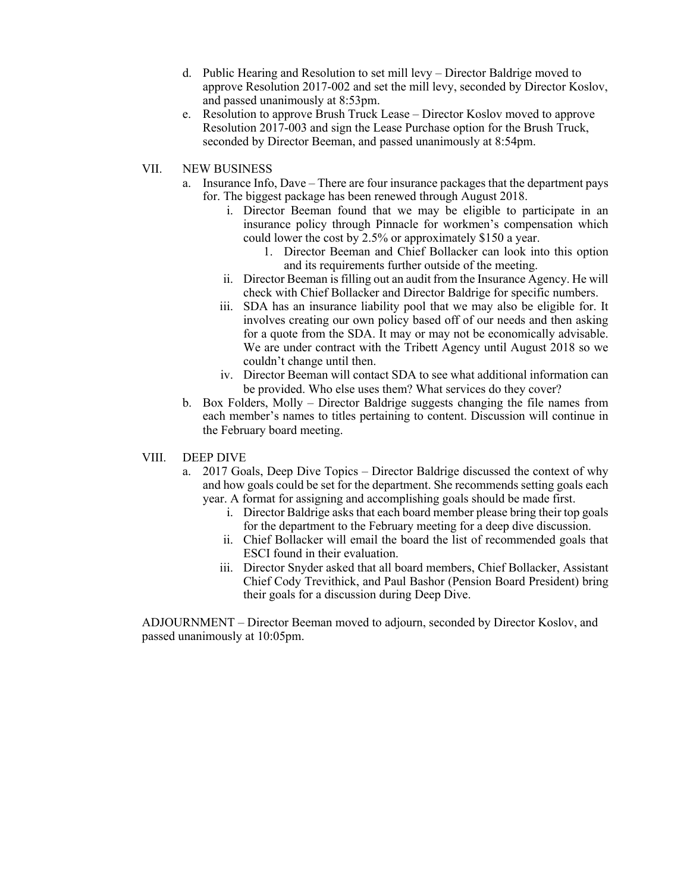- d. Public Hearing and Resolution to set mill levy Director Baldrige moved to approve Resolution 2017-002 and set the mill levy, seconded by Director Koslov, and passed unanimously at 8:53pm.
- e. Resolution to approve Brush Truck Lease Director Koslov moved to approve Resolution 2017-003 and sign the Lease Purchase option for the Brush Truck, seconded by Director Beeman, and passed unanimously at 8:54pm.
- VII. NEW BUSINESS
	- a. Insurance Info, Dave There are four insurance packages that the department pays for. The biggest package has been renewed through August 2018.
		- i. Director Beeman found that we may be eligible to participate in an insurance policy through Pinnacle for workmen's compensation which could lower the cost by 2.5% or approximately \$150 a year.
			- 1. Director Beeman and Chief Bollacker can look into this option and its requirements further outside of the meeting.
		- ii. Director Beeman is filling out an audit from the Insurance Agency. He will check with Chief Bollacker and Director Baldrige for specific numbers.
		- iii. SDA has an insurance liability pool that we may also be eligible for. It involves creating our own policy based off of our needs and then asking for a quote from the SDA. It may or may not be economically advisable. We are under contract with the Tribett Agency until August 2018 so we couldn't change until then.
		- iv. Director Beeman will contact SDA to see what additional information can be provided. Who else uses them? What services do they cover?
	- b. Box Folders, Molly Director Baldrige suggests changing the file names from each member's names to titles pertaining to content. Discussion will continue in the February board meeting.

### VIII. DEEP DIVE

- a. 2017 Goals, Deep Dive Topics Director Baldrige discussed the context of why and how goals could be set for the department. She recommends setting goals each year. A format for assigning and accomplishing goals should be made first.
	- i. Director Baldrige asks that each board member please bring their top goals for the department to the February meeting for a deep dive discussion.
	- ii. Chief Bollacker will email the board the list of recommended goals that ESCI found in their evaluation.
	- iii. Director Snyder asked that all board members, Chief Bollacker, Assistant Chief Cody Trevithick, and Paul Bashor (Pension Board President) bring their goals for a discussion during Deep Dive.

ADJOURNMENT – Director Beeman moved to adjourn, seconded by Director Koslov, and passed unanimously at 10:05pm.